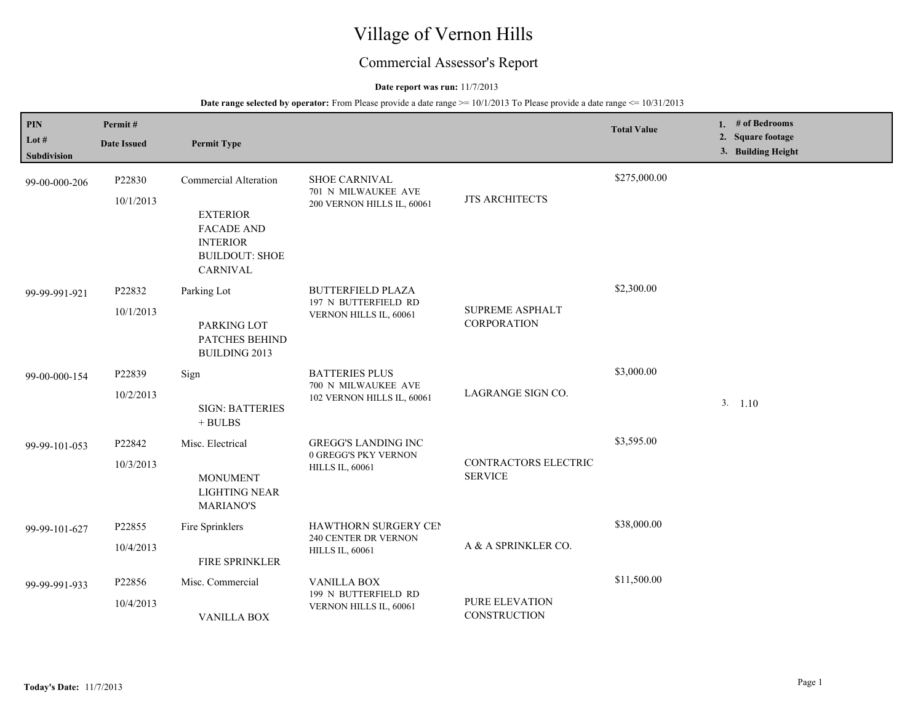# Village of Vernon Hills

## Commercial Assessor's Report

#### **Date report was run:** 11/7/2013

| PIN<br>Lot #<br><b>Subdivision</b> | Permit#<br><b>Date Issued</b> | <b>Permit Type</b>                                                                                                    |                                                                              |                                              | <b>Total Value</b> | 1. $#$ of Bedrooms<br>2. Square footage<br>3. Building Height |
|------------------------------------|-------------------------------|-----------------------------------------------------------------------------------------------------------------------|------------------------------------------------------------------------------|----------------------------------------------|--------------------|---------------------------------------------------------------|
| 99-00-000-206                      | P22830<br>10/1/2013           | Commercial Alteration<br><b>EXTERIOR</b><br><b>FACADE AND</b><br><b>INTERIOR</b><br><b>BUILDOUT: SHOE</b><br>CARNIVAL | <b>SHOE CARNIVAL</b><br>701 N MILWAUKEE AVE<br>200 VERNON HILLS IL, 60061    | <b>JTS ARCHITECTS</b>                        | \$275,000.00       |                                                               |
| 99-99-991-921                      | P22832<br>10/1/2013           | Parking Lot<br>PARKING LOT<br>PATCHES BEHIND<br><b>BUILDING 2013</b>                                                  | <b>BUTTERFIELD PLAZA</b><br>197 N BUTTERFIELD RD<br>VERNON HILLS IL, 60061   | <b>SUPREME ASPHALT</b><br><b>CORPORATION</b> | \$2,300.00         |                                                               |
| 99-00-000-154                      | P22839<br>10/2/2013           | Sign<br><b>SIGN: BATTERIES</b><br>$+$ BULBS                                                                           | <b>BATTERIES PLUS</b><br>700 N MILWAUKEE AVE<br>102 VERNON HILLS IL, 60061   | LAGRANGE SIGN CO.                            | \$3,000.00         | 3. 1.10                                                       |
| 99-99-101-053                      | P22842<br>10/3/2013           | Misc. Electrical<br><b>MONUMENT</b><br><b>LIGHTING NEAR</b><br><b>MARIANO'S</b>                                       | <b>GREGG'S LANDING INC</b><br>0 GREGG'S PKY VERNON<br><b>HILLS IL, 60061</b> | CONTRACTORS ELECTRIC<br><b>SERVICE</b>       | \$3,595.00         |                                                               |
| 99-99-101-627                      | P22855<br>10/4/2013           | Fire Sprinklers<br>FIRE SPRINKLER                                                                                     | HAWTHORN SURGERY CEN<br>240 CENTER DR VERNON<br><b>HILLS IL, 60061</b>       | A & A SPRINKLER CO.                          | \$38,000.00        |                                                               |
| 99-99-991-933                      | P22856<br>10/4/2013           | Misc. Commercial<br><b>VANILLA BOX</b>                                                                                | <b>VANILLA BOX</b><br>199 N BUTTERFIELD RD<br>VERNON HILLS IL, 60061         | PURE ELEVATION<br>CONSTRUCTION               | \$11,500.00        |                                                               |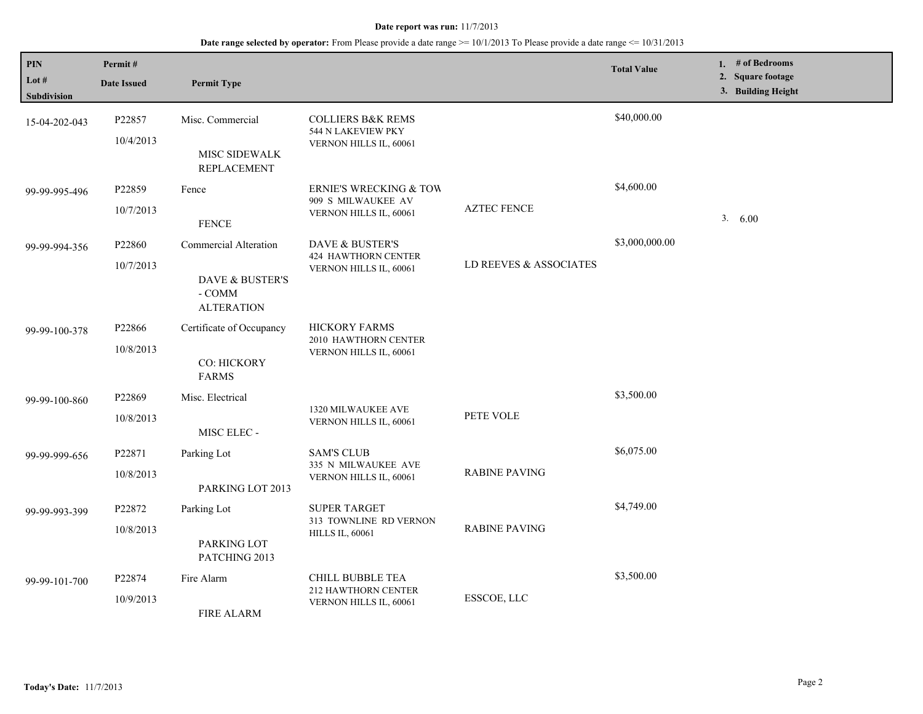| <b>PIN</b><br>Lot $#$<br>Subdivision | Permit#<br><b>Date Issued</b> | <b>Permit Type</b>                                                      |                                                                                   |                        | <b>Total Value</b> | 1. $#$ of Bedrooms<br>2. Square footage<br>3. Building Height |
|--------------------------------------|-------------------------------|-------------------------------------------------------------------------|-----------------------------------------------------------------------------------|------------------------|--------------------|---------------------------------------------------------------|
| 15-04-202-043                        | P22857<br>10/4/2013           | Misc. Commercial<br>MISC SIDEWALK<br><b>REPLACEMENT</b>                 | <b>COLLIERS B&amp;K REMS</b><br>544 N LAKEVIEW PKY<br>VERNON HILLS IL, 60061      |                        | \$40,000.00        |                                                               |
| 99-99-995-496                        | P22859<br>10/7/2013           | Fence<br><b>FENCE</b>                                                   | <b>ERNIE'S WRECKING &amp; TOW</b><br>909 S MILWAUKEE AV<br>VERNON HILLS IL, 60061 | <b>AZTEC FENCE</b>     | \$4,600.00         | 3. 6.00                                                       |
| 99-99-994-356                        | P22860<br>10/7/2013           | Commercial Alteration<br>DAVE & BUSTER'S<br>- COMM<br><b>ALTERATION</b> | DAVE & BUSTER'S<br>424 HAWTHORN CENTER<br>VERNON HILLS IL, 60061                  | LD REEVES & ASSOCIATES | \$3,000,000.00     |                                                               |
| 99-99-100-378                        | P22866<br>10/8/2013           | Certificate of Occupancy<br>CO: HICKORY<br><b>FARMS</b>                 | <b>HICKORY FARMS</b><br>2010 HAWTHORN CENTER<br>VERNON HILLS IL, 60061            |                        |                    |                                                               |
| 99-99-100-860                        | P22869<br>10/8/2013           | Misc. Electrical<br>MISC ELEC -                                         | 1320 MILWAUKEE AVE<br>VERNON HILLS IL, 60061                                      | PETE VOLE              | \$3,500.00         |                                                               |
| 99-99-999-656                        | P22871<br>10/8/2013           | Parking Lot<br>PARKING LOT 2013                                         | <b>SAM'S CLUB</b><br>335 N MILWAUKEE AVE<br>VERNON HILLS IL, 60061                | <b>RABINE PAVING</b>   | \$6,075.00         |                                                               |
| 99-99-993-399                        | P22872<br>10/8/2013           | Parking Lot<br>PARKING LOT<br>PATCHING 2013                             | <b>SUPER TARGET</b><br>313 TOWNLINE RD VERNON<br><b>HILLS IL, 60061</b>           | <b>RABINE PAVING</b>   | \$4,749.00         |                                                               |
| 99-99-101-700                        | P22874<br>10/9/2013           | Fire Alarm<br><b>FIRE ALARM</b>                                         | <b>CHILL BUBBLE TEA</b><br>212 HAWTHORN CENTER<br>VERNON HILLS IL, 60061          | ESSCOE, LLC            | \$3,500.00         |                                                               |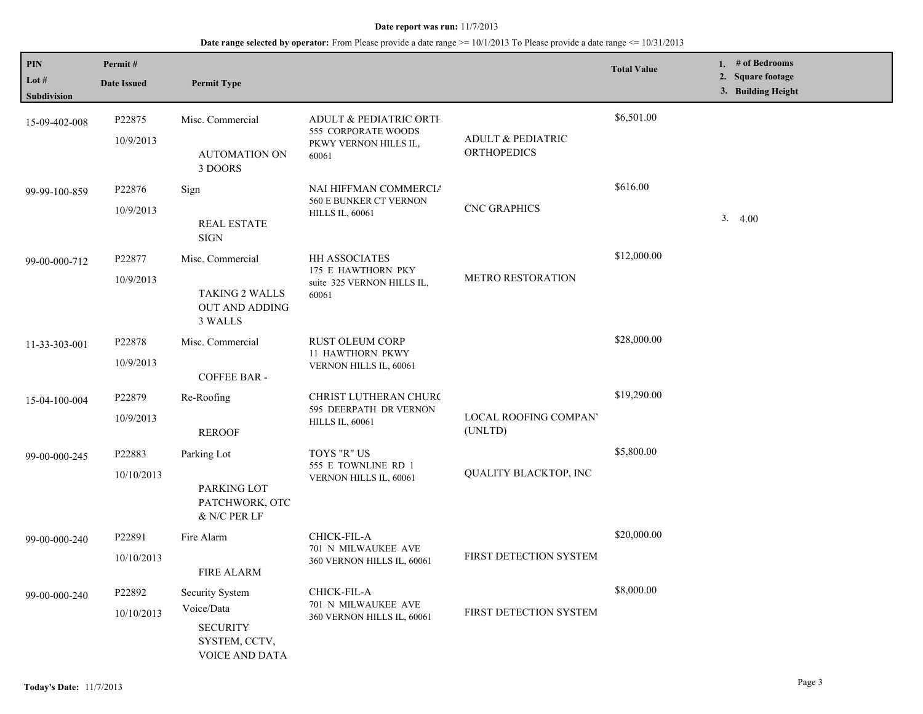| <b>PIN</b><br>Lot $#$<br>Subdivision | Permit#<br><b>Date Issued</b>   | <b>Permit Type</b>                                                                         |                                                                                   |                                                    | <b>Total Value</b> | 1. # of Bedrooms<br>2. Square footage<br>3. Building Height |
|--------------------------------------|---------------------------------|--------------------------------------------------------------------------------------------|-----------------------------------------------------------------------------------|----------------------------------------------------|--------------------|-------------------------------------------------------------|
| 15-09-402-008                        | P <sub>22875</sub><br>10/9/2013 | Misc. Commercial<br><b>AUTOMATION ON</b><br>3 DOORS                                        | ADULT & PEDIATRIC ORTH<br>555 CORPORATE WOODS<br>PKWY VERNON HILLS IL,<br>60061   | <b>ADULT &amp; PEDIATRIC</b><br><b>ORTHOPEDICS</b> | \$6,501.00         |                                                             |
| 99-99-100-859                        | P22876<br>10/9/2013             | Sign<br><b>REAL ESTATE</b><br><b>SIGN</b>                                                  | NAI HIFFMAN COMMERCIA<br>560 E BUNKER CT VERNON<br><b>HILLS IL, 60061</b>         | <b>CNC GRAPHICS</b>                                | \$616.00           | 3.4.00                                                      |
| 99-00-000-712                        | P22877<br>10/9/2013             | Misc. Commercial<br><b>TAKING 2 WALLS</b><br><b>OUT AND ADDING</b><br>3 WALLS              | <b>HH ASSOCIATES</b><br>175 E HAWTHORN PKY<br>suite 325 VERNON HILLS IL,<br>60061 | <b>METRO RESTORATION</b>                           | \$12,000.00        |                                                             |
| 11-33-303-001                        | P22878<br>10/9/2013             | Misc. Commercial<br><b>COFFEE BAR -</b>                                                    | <b>RUST OLEUM CORP</b><br><b>11 HAWTHORN PKWY</b><br>VERNON HILLS IL, 60061       |                                                    | \$28,000.00        |                                                             |
| 15-04-100-004                        | P22879<br>10/9/2013             | Re-Roofing<br><b>REROOF</b>                                                                | <b>CHRIST LUTHERAN CHURC</b><br>595 DEERPATH DR VERNON<br><b>HILLS IL, 60061</b>  | LOCAL ROOFING COMPAN'<br>(UNLTD)                   | \$19,290.00        |                                                             |
| 99-00-000-245                        | P22883<br>10/10/2013            | Parking Lot<br>PARKING LOT<br>PATCHWORK, OTC<br>& N/C PER LF                               | TOYS "R" US<br>555 E TOWNLINE RD 1<br>VERNON HILLS IL, 60061                      | QUALITY BLACKTOP, INC                              | \$5,800.00         |                                                             |
| 99-00-000-240                        | P22891<br>10/10/2013            | Fire Alarm<br><b>FIRE ALARM</b>                                                            | CHICK-FIL-A<br>701 N MILWAUKEE AVE<br>360 VERNON HILLS IL, 60061                  | FIRST DETECTION SYSTEM                             | \$20,000.00        |                                                             |
| 99-00-000-240                        | P22892<br>10/10/2013            | <b>Security System</b><br>Voice/Data<br><b>SECURITY</b><br>SYSTEM, CCTV,<br>VOICE AND DATA | CHICK-FIL-A<br>701 N MILWAUKEE AVE<br>360 VERNON HILLS IL, 60061                  | <b>FIRST DETECTION SYSTEM</b>                      | \$8,000.00         |                                                             |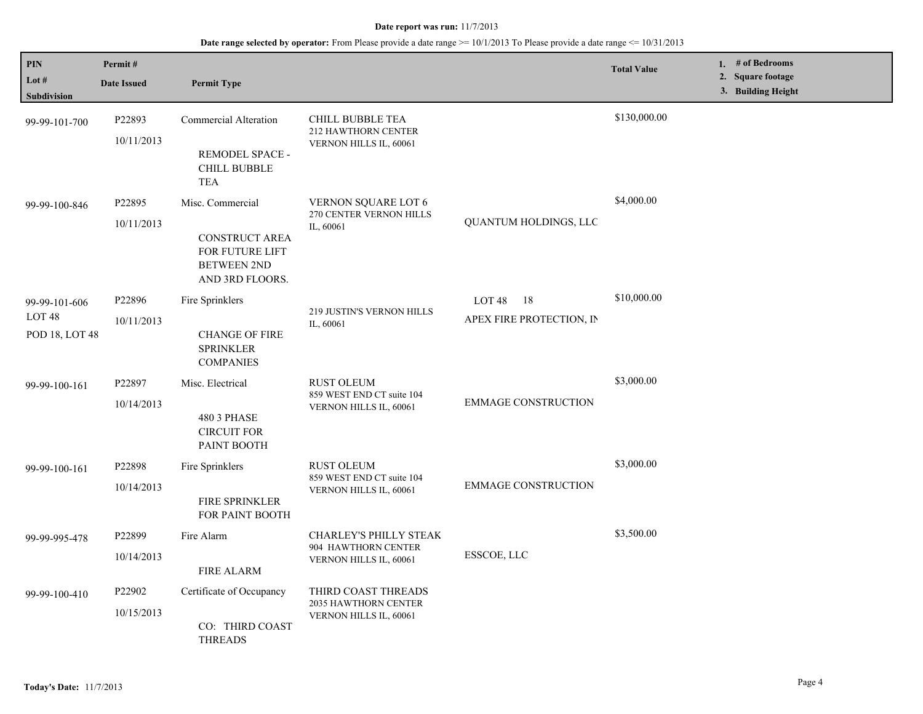| PIN<br>Lot $#$<br>Subdivision                        | Permit#<br><b>Date Issued</b> | <b>Permit Type</b>                                                                                    |                                                                          |                                                       | <b>Total Value</b> | 1. # of Bedrooms<br>2. Square footage<br>3. Building Height |
|------------------------------------------------------|-------------------------------|-------------------------------------------------------------------------------------------------------|--------------------------------------------------------------------------|-------------------------------------------------------|--------------------|-------------------------------------------------------------|
| 99-99-101-700                                        | P22893<br>10/11/2013          | Commercial Alteration<br>REMODEL SPACE -<br><b>CHILL BUBBLE</b><br><b>TEA</b>                         | <b>CHILL BUBBLE TEA</b><br>212 HAWTHORN CENTER<br>VERNON HILLS IL, 60061 |                                                       | \$130,000.00       |                                                             |
| 99-99-100-846                                        | P22895<br>10/11/2013          | Misc. Commercial<br><b>CONSTRUCT AREA</b><br>FOR FUTURE LIFT<br><b>BETWEEN 2ND</b><br>AND 3RD FLOORS. | VERNON SQUARE LOT 6<br>270 CENTER VERNON HILLS<br>IL, 60061              | QUANTUM HOLDINGS, LLC                                 | \$4,000.00         |                                                             |
| 99-99-101-606<br>LOT <sub>48</sub><br>POD 18, LOT 48 | P22896<br>10/11/2013          | Fire Sprinklers<br><b>CHANGE OF FIRE</b><br><b>SPRINKLER</b><br><b>COMPANIES</b>                      | 219 JUSTIN'S VERNON HILLS<br>IL, 60061                                   | LOT <sub>48</sub><br>- 18<br>APEX FIRE PROTECTION, IN | \$10,000.00        |                                                             |
| 99-99-100-161                                        | P22897<br>10/14/2013          | Misc. Electrical<br>480 3 PHASE<br><b>CIRCUIT FOR</b><br>PAINT BOOTH                                  | <b>RUST OLEUM</b><br>859 WEST END CT suite 104<br>VERNON HILLS IL, 60061 | <b>EMMAGE CONSTRUCTION</b>                            | \$3,000.00         |                                                             |
| 99-99-100-161                                        | P22898<br>10/14/2013          | Fire Sprinklers<br>FIRE SPRINKLER<br>FOR PAINT BOOTH                                                  | <b>RUST OLEUM</b><br>859 WEST END CT suite 104<br>VERNON HILLS IL, 60061 | <b>EMMAGE CONSTRUCTION</b>                            | \$3,000.00         |                                                             |
| 99-99-995-478                                        | P22899<br>10/14/2013          | Fire Alarm<br><b>FIRE ALARM</b>                                                                       | CHARLEY'S PHILLY STEAK<br>904 HAWTHORN CENTER<br>VERNON HILLS IL, 60061  | ESSCOE, LLC                                           | \$3,500.00         |                                                             |
| 99-99-100-410                                        | P22902<br>10/15/2013          | Certificate of Occupancy<br>CO: THIRD COAST<br><b>THREADS</b>                                         | THIRD COAST THREADS<br>2035 HAWTHORN CENTER<br>VERNON HILLS IL, 60061    |                                                       |                    |                                                             |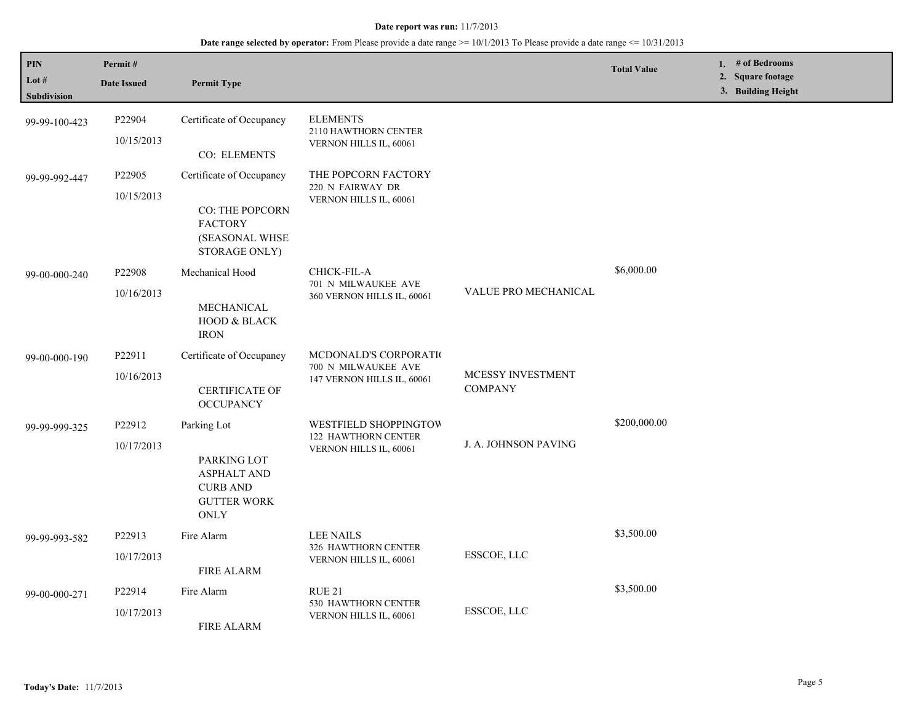| PIN<br>Lot $#$<br>Subdivision | Permit#<br><b>Date Issued</b>    | <b>Permit Type</b>                                                                                       |                                                                            |                                     | <b>Total Value</b> | # of Bedrooms<br>1.<br>2. Square footage<br>3. Building Height |
|-------------------------------|----------------------------------|----------------------------------------------------------------------------------------------------------|----------------------------------------------------------------------------|-------------------------------------|--------------------|----------------------------------------------------------------|
| 99-99-100-423                 | P22904<br>10/15/2013             | Certificate of Occupancy<br>CO: ELEMENTS                                                                 | <b>ELEMENTS</b><br>2110 HAWTHORN CENTER<br>VERNON HILLS IL, 60061          |                                     |                    |                                                                |
| 99-99-992-447                 | P22905<br>10/15/2013             | Certificate of Occupancy<br>CO: THE POPCORN<br><b>FACTORY</b><br>(SEASONAL WHSE<br>STORAGE ONLY)         | THE POPCORN FACTORY<br>220 N FAIRWAY DR<br>VERNON HILLS IL, 60061          |                                     |                    |                                                                |
| 99-00-000-240                 | P <sub>22908</sub><br>10/16/2013 | Mechanical Hood<br>MECHANICAL<br>HOOD & BLACK<br><b>IRON</b>                                             | CHICK-FIL-A<br>701 N MILWAUKEE AVE<br>360 VERNON HILLS IL, 60061           | VALUE PRO MECHANICAL                | \$6,000.00         |                                                                |
| 99-00-000-190                 | P22911<br>10/16/2013             | Certificate of Occupancy<br><b>CERTIFICATE OF</b><br><b>OCCUPANCY</b>                                    | MCDONALD'S CORPORATIO<br>700 N MILWAUKEE AVE<br>147 VERNON HILLS IL, 60061 | MCESSY INVESTMENT<br><b>COMPANY</b> |                    |                                                                |
| 99-99-999-325                 | P22912<br>10/17/2013             | Parking Lot<br>PARKING LOT<br><b>ASPHALT AND</b><br><b>CURB AND</b><br><b>GUTTER WORK</b><br><b>ONLY</b> | WESTFIELD SHOPPINGTOW<br>122 HAWTHORN CENTER<br>VERNON HILLS IL, 60061     | J. A. JOHNSON PAVING                | \$200,000.00       |                                                                |
| 99-99-993-582                 | P22913<br>10/17/2013             | Fire Alarm<br><b>FIRE ALARM</b>                                                                          | <b>LEE NAILS</b><br>326 HAWTHORN CENTER<br>VERNON HILLS IL, 60061          | ESSCOE, LLC                         | \$3,500.00         |                                                                |
| 99-00-000-271                 | P22914<br>10/17/2013             | Fire Alarm<br>FIRE ALARM                                                                                 | <b>RUE 21</b><br>530 HAWTHORN CENTER<br>VERNON HILLS IL, 60061             | ESSCOE, LLC                         | \$3,500.00         |                                                                |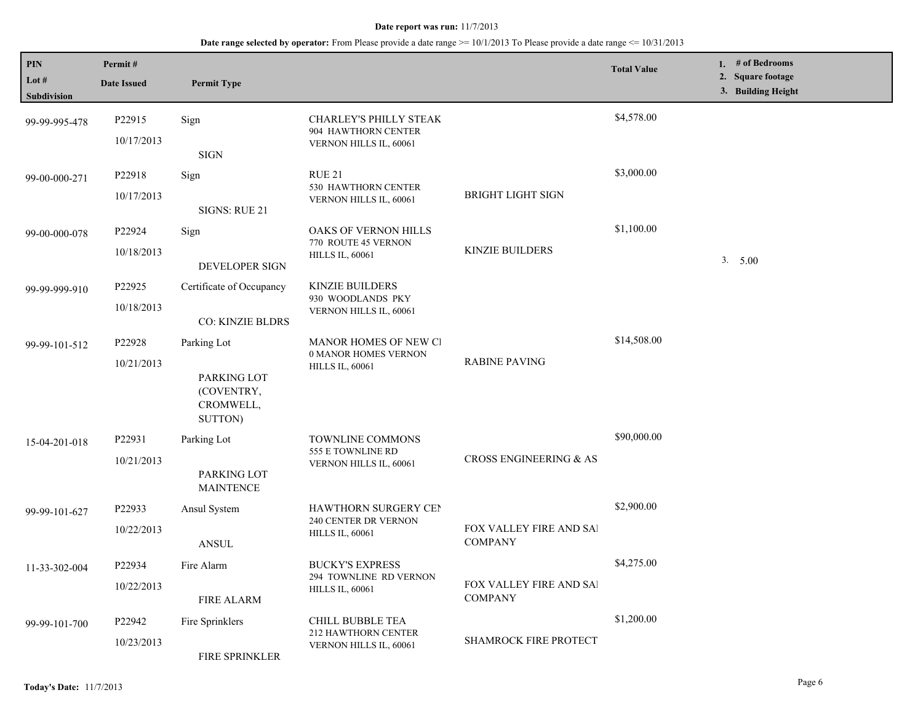| PIN<br>Lot $#$<br>Subdivision | Permit#<br><b>Date Issued</b> | <b>Permit Type</b>                                               |                                                                                |                                           | <b>Total Value</b> | 1. # of Bedrooms<br>2. Square footage<br>3. Building Height |
|-------------------------------|-------------------------------|------------------------------------------------------------------|--------------------------------------------------------------------------------|-------------------------------------------|--------------------|-------------------------------------------------------------|
| 99-99-995-478                 | P22915<br>10/17/2013          | Sign<br><b>SIGN</b>                                              | <b>CHARLEY'S PHILLY STEAK</b><br>904 HAWTHORN CENTER<br>VERNON HILLS IL, 60061 |                                           | \$4,578.00         |                                                             |
| 99-00-000-271                 | P22918<br>10/17/2013          | Sign<br>SIGNS: RUE 21                                            | <b>RUE 21</b><br>530 HAWTHORN CENTER<br>VERNON HILLS IL, 60061                 | <b>BRIGHT LIGHT SIGN</b>                  | \$3,000.00         |                                                             |
| 99-00-000-078                 | P22924<br>10/18/2013          | Sign<br>DEVELOPER SIGN                                           | OAKS OF VERNON HILLS<br>770 ROUTE 45 VERNON<br><b>HILLS IL, 60061</b>          | KINZIE BUILDERS                           | \$1,100.00         | 3.5.00                                                      |
| 99-99-999-910                 | P22925<br>10/18/2013          | Certificate of Occupancy<br><b>CO: KINZIE BLDRS</b>              | KINZIE BUILDERS<br>930 WOODLANDS PKY<br>VERNON HILLS IL, 60061                 |                                           |                    |                                                             |
| 99-99-101-512                 | P22928<br>10/21/2013          | Parking Lot<br>PARKING LOT<br>(COVENTRY,<br>CROMWELL,<br>SUTTON) | MANOR HOMES OF NEW CI<br>0 MANOR HOMES VERNON<br><b>HILLS IL, 60061</b>        | <b>RABINE PAVING</b>                      | \$14,508.00        |                                                             |
| 15-04-201-018                 | P22931<br>10/21/2013          | Parking Lot<br>PARKING LOT<br><b>MAINTENCE</b>                   | <b>TOWNLINE COMMONS</b><br>555 E TOWNLINE RD<br>VERNON HILLS IL, 60061         | CROSS ENGINEERING & AS                    | \$90,000.00        |                                                             |
| 99-99-101-627                 | P22933<br>10/22/2013          | Ansul System<br><b>ANSUL</b>                                     | HAWTHORN SURGERY CEN<br>240 CENTER DR VERNON<br><b>HILLS IL, 60061</b>         | FOX VALLEY FIRE AND SAI<br><b>COMPANY</b> | \$2,900.00         |                                                             |
| 11-33-302-004                 | P22934<br>10/22/2013          | Fire Alarm<br><b>FIRE ALARM</b>                                  | <b>BUCKY'S EXPRESS</b><br>294 TOWNLINE RD VERNON<br><b>HILLS IL, 60061</b>     | FOX VALLEY FIRE AND SAI<br><b>COMPANY</b> | \$4,275.00         |                                                             |
| 99-99-101-700                 | P22942<br>10/23/2013          | Fire Sprinklers<br>FIRE SPRINKLER                                | CHILL BUBBLE TEA<br>212 HAWTHORN CENTER<br>VERNON HILLS IL, 60061              | <b>SHAMROCK FIRE PROTECT</b>              | \$1,200.00         |                                                             |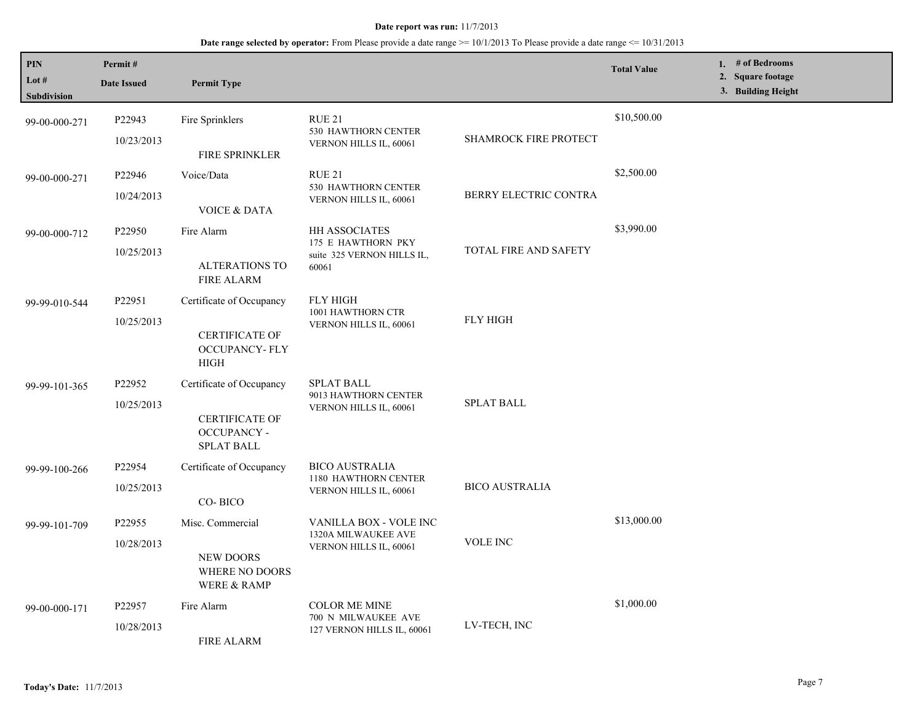| PIN<br>Lot #<br>Subdivision | Permit#<br><b>Date Issued</b> | <b>Permit Type</b>                                                                       |                                                                            |                       | <b>Total Value</b> | 1. $#$ of Bedrooms<br>2. Square footage<br>3. Building Height |
|-----------------------------|-------------------------------|------------------------------------------------------------------------------------------|----------------------------------------------------------------------------|-----------------------|--------------------|---------------------------------------------------------------|
| 99-00-000-271               | P22943<br>10/23/2013          | Fire Sprinklers<br>FIRE SPRINKLER                                                        | RUE 21<br>530 HAWTHORN CENTER<br>VERNON HILLS IL, 60061                    | SHAMROCK FIRE PROTECT | \$10,500.00        |                                                               |
| 99-00-000-271               | P22946<br>10/24/2013          | Voice/Data<br><b>VOICE &amp; DATA</b>                                                    | RUE 21<br>530 HAWTHORN CENTER<br>VERNON HILLS IL, 60061                    | BERRY ELECTRIC CONTRA | \$2,500.00         |                                                               |
| 99-00-000-712               | P22950<br>10/25/2013          | Fire Alarm<br><b>ALTERATIONS TO</b><br><b>FIRE ALARM</b>                                 | HH ASSOCIATES<br>175 E HAWTHORN PKY<br>suite 325 VERNON HILLS IL,<br>60061 | TOTAL FIRE AND SAFETY | \$3,990.00         |                                                               |
| 99-99-010-544               | P22951<br>10/25/2013          | Certificate of Occupancy<br><b>CERTIFICATE OF</b><br><b>OCCUPANCY-FLY</b><br><b>HIGH</b> | <b>FLY HIGH</b><br>1001 HAWTHORN CTR<br>VERNON HILLS IL, 60061             | <b>FLY HIGH</b>       |                    |                                                               |
| 99-99-101-365               | P22952<br>10/25/2013          | Certificate of Occupancy<br><b>CERTIFICATE OF</b><br><b>OCCUPANCY -</b><br>SPLAT BALL    | <b>SPLAT BALL</b><br>9013 HAWTHORN CENTER<br>VERNON HILLS IL, 60061        | <b>SPLAT BALL</b>     |                    |                                                               |
| 99-99-100-266               | P22954<br>10/25/2013          | Certificate of Occupancy<br>CO-BICO                                                      | <b>BICO AUSTRALIA</b><br>1180 HAWTHORN CENTER<br>VERNON HILLS IL, 60061    | <b>BICO AUSTRALIA</b> |                    |                                                               |
| 99-99-101-709               | P22955<br>10/28/2013          | Misc. Commercial<br><b>NEW DOORS</b><br>WHERE NO DOORS<br>WERE & RAMP                    | VANILLA BOX - VOLE INC<br>1320A MILWAUKEE AVE<br>VERNON HILLS IL, 60061    | <b>VOLE INC</b>       | \$13,000.00        |                                                               |
| 99-00-000-171               | P22957<br>10/28/2013          | Fire Alarm<br><b>FIRE ALARM</b>                                                          | <b>COLOR ME MINE</b><br>700 N MILWAUKEE AVE<br>127 VERNON HILLS IL, 60061  | LV-TECH, INC          | \$1,000.00         |                                                               |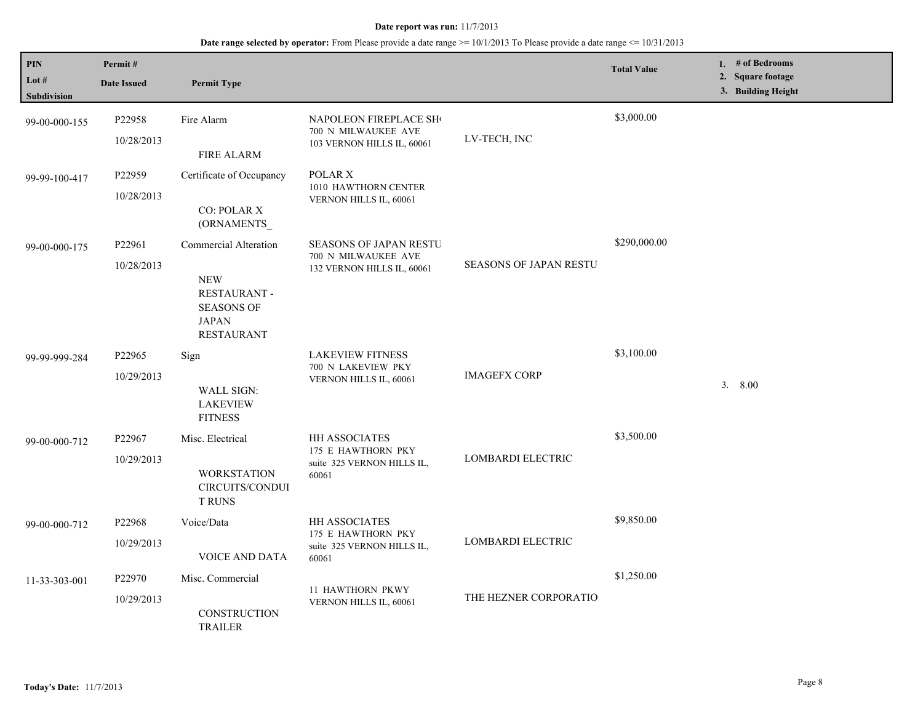| <b>PIN</b><br>Lot $#$<br>Subdivision | Permit#<br><b>Date Issued</b>    | <b>Permit Type</b>                                                                                                   |                                                                                    |                               | <b>Total Value</b> | 1. # of Bedrooms<br>2. Square footage<br>3. Building Height |
|--------------------------------------|----------------------------------|----------------------------------------------------------------------------------------------------------------------|------------------------------------------------------------------------------------|-------------------------------|--------------------|-------------------------------------------------------------|
| 99-00-000-155                        | P22958<br>10/28/2013             | Fire Alarm<br><b>FIRE ALARM</b>                                                                                      | NAPOLEON FIREPLACE SH<br>700 N MILWAUKEE AVE<br>103 VERNON HILLS IL, 60061         | LV-TECH, INC                  | \$3,000.00         |                                                             |
| 99-99-100-417                        | P22959<br>10/28/2013             | Certificate of Occupancy<br><b>CO: POLAR X</b><br>(ORNAMENTS_                                                        | POLAR X<br>1010 HAWTHORN CENTER<br>VERNON HILLS IL, 60061                          |                               |                    |                                                             |
| 99-00-000-175                        | P22961<br>10/28/2013             | Commercial Alteration<br><b>NEW</b><br><b>RESTAURANT -</b><br><b>SEASONS OF</b><br><b>JAPAN</b><br><b>RESTAURANT</b> | <b>SEASONS OF JAPAN RESTU</b><br>700 N MILWAUKEE AVE<br>132 VERNON HILLS IL, 60061 | <b>SEASONS OF JAPAN RESTU</b> | \$290,000.00       |                                                             |
| 99-99-999-284                        | P <sub>22965</sub><br>10/29/2013 | Sign<br>WALL SIGN:<br><b>LAKEVIEW</b><br><b>FITNESS</b>                                                              | <b>LAKEVIEW FITNESS</b><br>700 N LAKEVIEW PKY<br>VERNON HILLS IL, 60061            | <b>IMAGEFX CORP</b>           | \$3,100.00         | 3.800                                                       |
| 99-00-000-712                        | P22967<br>10/29/2013             | Misc. Electrical<br><b>WORKSTATION</b><br>CIRCUITS/CONDUI<br><b>T RUNS</b>                                           | HH ASSOCIATES<br>175 E HAWTHORN PKY<br>suite 325 VERNON HILLS IL,<br>60061         | <b>LOMBARDI ELECTRIC</b>      | \$3,500.00         |                                                             |
| 99-00-000-712                        | P22968<br>10/29/2013             | Voice/Data<br><b>VOICE AND DATA</b>                                                                                  | HH ASSOCIATES<br>175 E HAWTHORN PKY<br>suite 325 VERNON HILLS IL,<br>60061         | LOMBARDI ELECTRIC             | \$9,850.00         |                                                             |
| 11-33-303-001                        | P22970<br>10/29/2013             | Misc. Commercial<br>CONSTRUCTION<br><b>TRAILER</b>                                                                   | 11 HAWTHORN PKWY<br>VERNON HILLS IL, 60061                                         | THE HEZNER CORPORATIO         | \$1,250.00         |                                                             |